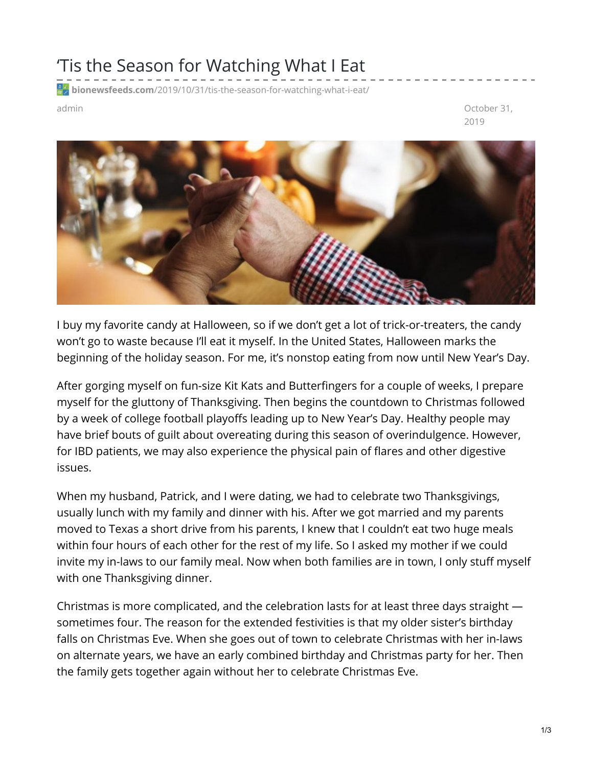## 'Tis the Season for Watching What I Eat

**bionewsfeeds.com**[/2019/10/31/tis-the-season-for-watching-what-i-eat/](https://bionewsfeeds.com/2019/10/31/tis-the-season-for-watching-what-i-eat/)

admin October 31, 2019



I buy my favorite candy at Halloween, so if we don't get a lot of trick-or-treaters, the candy won't go to waste because I'll eat it myself. In the United States, Halloween marks the beginning of the holiday season. For me, it's nonstop eating from now until New Year's Day.

After gorging myself on fun-size Kit Kats and Butterfingers for a couple of weeks, I prepare myself for the gluttony of Thanksgiving. Then begins the countdown to Christmas followed by a week of college football playoffs leading up to New Year's Day. Healthy people may have brief bouts of guilt about overeating during this season of overindulgence. However, for IBD patients, we may also experience the physical pain of flares and other digestive issues.

When my husband, Patrick, and I were dating, we had to celebrate two Thanksgivings, usually lunch with my family and dinner with his. After we got married and my parents moved to Texas a short drive from his parents, I knew that I couldn't eat two huge meals within four hours of each other for the rest of my life. So I asked my mother if we could invite my in-laws to our family meal. Now when both families are in town, I only stuff myself with one Thanksgiving dinner.

Christmas is more complicated, and the celebration lasts for at least three days straight sometimes four. The reason for the extended festivities is that my older sister's birthday falls on Christmas Eve. When she goes out of town to celebrate Christmas with her in-laws on alternate years, we have an early combined birthday and Christmas party for her. Then the family gets together again without her to celebrate Christmas Eve.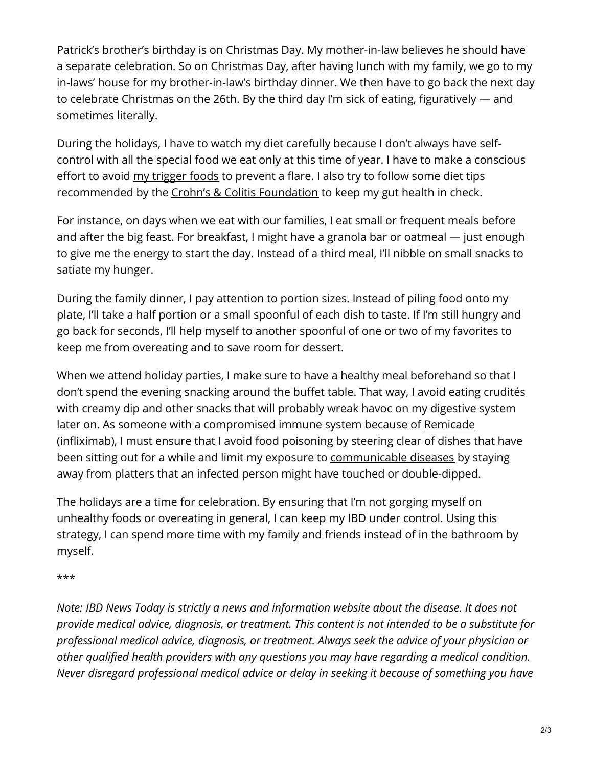Patrick's brother's birthday is on Christmas Day. My mother-in-law believes he should have a separate celebration. So on Christmas Day, after having lunch with my family, we go to my in-laws' house for my brother-in-law's birthday dinner. We then have to go back the next day to celebrate Christmas on the 26th. By the third day I'm sick of eating, figuratively — and sometimes literally.

During the holidays, I have to watch my diet carefully because I don't always have selfcontrol with all the special food we eat only at this time of year. I have to make a conscious effort to avoid my [trigger](https://ibdnewstoday.com/2019/04/11/triggers-flares-journal-diet-tracking-symptoms/) foods to prevent a flare. I also try to follow some diet tips recommended by the Crohn's & Colitis [Foundation](https://www.google.com/url?sa=t&rct=j&q=&esrc=s&source=web&cd=17&ved=2ahUKEwig-8bNvsDlAhUDW60KHenECakQFjAQegQIBBAC&url=https%3A%2F%2Fsite.crohnscolitisfoundation.org%2Fresources%2Fdiet-nutrition-ibd-2013.pdf&usg=AOvVaw3rJUjF4FTnI4G8e-P_TJRX) to keep my gut health in check.

For instance, on days when we eat with our families, I eat small or frequent meals before and after the big feast. For breakfast, I might have a granola bar or oatmeal — just enough to give me the energy to start the day. Instead of a third meal, I'll nibble on small snacks to satiate my hunger.

During the family dinner, I pay attention to portion sizes. Instead of piling food onto my plate, I'll take a half portion or a small spoonful of each dish to taste. If I'm still hungry and go back for seconds, I'll help myself to another spoonful of one or two of my favorites to keep me from overeating and to save room for dessert.

When we attend holiday parties, I make sure to have a healthy meal beforehand so that I don't spend the evening snacking around the buffet table. That way, I avoid eating crudités with creamy dip and other snacks that will probably wreak havoc on my digestive system later on. As someone with a compromised immune system because of [Remicade](https://medlineplus.gov/druginfo/meds/a604023.html#brand-name-1) (infliximab), I must ensure that I avoid food poisoning by steering clear of dishes that have been sitting out for a while and limit my exposure to [communicable](https://www.apha.org/topics-and-issues/communicable-disease) diseases by staying away from platters that an infected person might have touched or double-dipped.

The holidays are a time for celebration. By ensuring that I'm not gorging myself on unhealthy foods or overeating in general, I can keep my IBD under control. Using this strategy, I can spend more time with my family and friends instead of in the bathroom by myself.

\*\*\*

*Note: IBD News [Today](https://ibdnewstoday.com/) is strictly a news and information website about the disease. It does not provide medical advice, diagnosis, or treatment. This content is not intended to be a substitute for professional medical advice, diagnosis, or treatment. Always seek the advice of your physician or other qualified health providers with any questions you may have regarding a medical condition. Never disregard professional medical advice or delay in seeking it because of something you have*